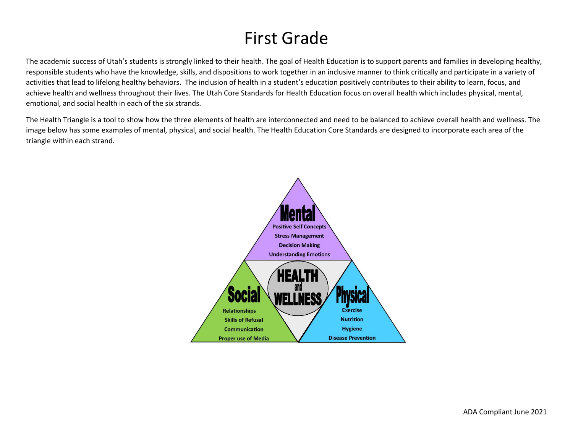# First Grade

The academic success of Utah's students is strongly linked to their health. The goal of Health Education is to support parents and families in developing healthy, responsible students who have the knowledge, skills, and dispositions to work together in an inclusive manner to think critically and participate in a variety of activities that lead to lifelong healthy behaviors. The inclusion of health in a student's education positively contributes to their ability to learn, focus, and achieve health and wellness throughout their lives. The Utah Core Standards for Health Education focus on overall health which includes physical, mental, emotional, and social health in each of the six strands.

The Health Triangle is a tool to show how the three elements of health are interconnected and need to be balanced to achieve overall health and wellness. The image below has some examples of mental, physical, and social health. The Health Education Core Standards are designed to incorporate each area of the triangle within each strand.

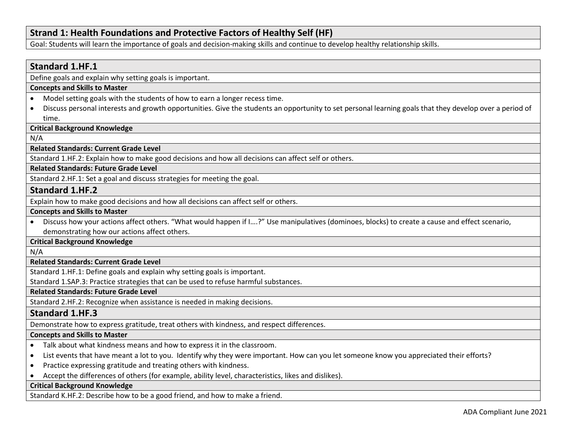# **Strand 1: Health Foundations and Protective Factors of Healthy Self (HF)**

Goal: Students will learn the importance of goals and decision-making skills and continue to develop healthy relationship skills.

# **Standard 1.HF.1**

Define goals and explain why setting goals is important.

## **Concepts and Skills to Master**

- Model setting goals with the students of how to earn a longer recess time.
- Discuss personal interests and growth opportunities. Give the students an opportunity to set personal learning goals that they develop over a period of time.

## **Critical Background Knowledge**

N/A

#### **Related Standards: Current Grade Level**

Standard 1.HF.2: Explain how to make good decisions and how all decisions can affect self or others.

## **Related Standards: Future Grade Level**

Standard 2.HF.1: Set a goal and discuss strategies for meeting the goal.

## **Standard 1.HF.2**

Explain how to make good decisions and how all decisions can affect self or others.

#### **Concepts and Skills to Master**

• Discuss how your actions affect others. "What would happen if I….?" Use manipulatives (dominoes, blocks) to create a cause and effect scenario, demonstrating how our actions affect others.

## **Critical Background Knowledge**

N/A

## **Related Standards: Current Grade Level**

Standard 1.HF.1: Define goals and explain why setting goals is important.

Standard 1.SAP.3: Practice strategies that can be used to refuse harmful substances.

## **Related Standards: Future Grade Level**

Standard 2.HF.2: Recognize when assistance is needed in making decisions.

## **Standard 1.HF.3**

Demonstrate how to express gratitude, treat others with kindness, and respect differences.

#### **Concepts and Skills to Master**

- Talk about what kindness means and how to express it in the classroom.
- List events that have meant a lot to you. Identify why they were important. How can you let someone know you appreciated their efforts?
- Practice expressing gratitude and treating others with kindness.
- Accept the differences of others (for example, ability level, characteristics, likes and dislikes).

#### **Critical Background Knowledge**

Standard K.HF.2: Describe how to be a good friend, and how to make a friend.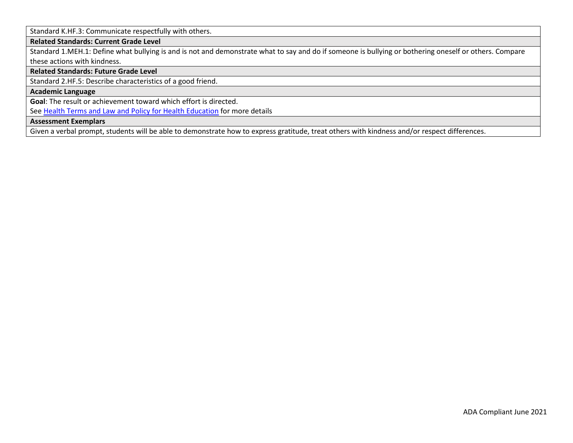Standard K.HF.3: Communicate respectfully with others.

## **Related Standards: Current Grade Level**

Standard 1.MEH.1: Define what bullying is and is not and demonstrate what to say and do if someone is bullying or bothering oneself or others. Compare these actions with kindness.

## **Related Standards: Future Grade Level**

Standard 2.HF.5: Describe characteristics of a good friend.

## **Academic Language**

**Goal**: The result or achievement toward which effort is directed.

See [Health Terms and Law and Policy for Health Education](https://schools.utah.gov/file/79acf6fe-5e26-4f46-9374-116b785e9147) for more details

## **Assessment Exemplars**

Given a verbal prompt, students will be able to demonstrate how to express gratitude, treat others with kindness and/or respect differences.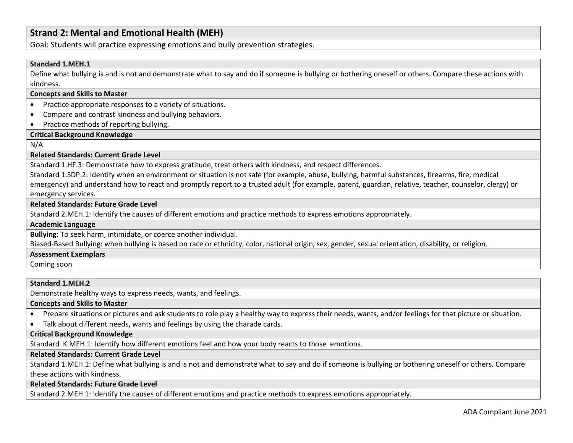# **Strand 2: Mental and Emotional Health (MEH)**

Goal: Students will practice expressing emotions and bully prevention strategies.

#### **Standard 1.MEH.1**

Define what bullying is and is not and demonstrate what to say and do if someone is bullying or bothering oneself or others. Compare these actions with kindness.

#### **Concepts and Skills to Master**

- Practice appropriate responses to a variety of situations.
- Compare and contrast kindness and bullying behaviors.
- Practice methods of reporting bullying.

#### **Critical Background Knowledge**

#### N/A

#### **Related Standards: Current Grade Level**

Standard 1.HF.3: Demonstrate how to express gratitude, treat others with kindness, and respect differences.

Standard 1.SDP.2: Identify when an environment or situation is not safe (for example, abuse, bullying, harmful substances, firearms, fire, medical emergency) and understand how to react and promptly report to a trusted adult (for example, parent, guardian, relative, teacher, counselor, clergy) or emergency services.

#### **Related Standards: Future Grade Level**

Standard 2.MEH.1: Identify the causes of different emotions and practice methods to express emotions appropriately.

#### **Academic Language**

**Bullying**: To seek harm, intimidate, or coerce another individual.

Biased-Based Bullying: when bullying is based on race or ethnicity, color, national origin, sex, gender, sexual orientation, disability, or religion.

#### **Assessment Exemplars**

Coming soon

#### **Standard 1.MEH.2**

Demonstrate healthy ways to express needs, wants, and feelings.

#### **Concepts and Skills to Master**

- Prepare situations or pictures and ask students to role play a healthy way to express their needs, wants, and/or feelings for that picture or situation.
- Talk about different needs, wants and feelings by using the charade cards.

## **Critical Background Knowledge**

Standard K.MEH.1: Identify how different emotions feel and how your body reacts to those emotions.

#### **Related Standards: Current Grade Level**

Standard 1.MEH.1: Define what bullying is and is not and demonstrate what to say and do if someone is bullying or bothering oneself or others. Compare these actions with kindness.

#### **Related Standards: Future Grade Level**

Standard 2.MEH.1: Identify the causes of different emotions and practice methods to express emotions appropriately.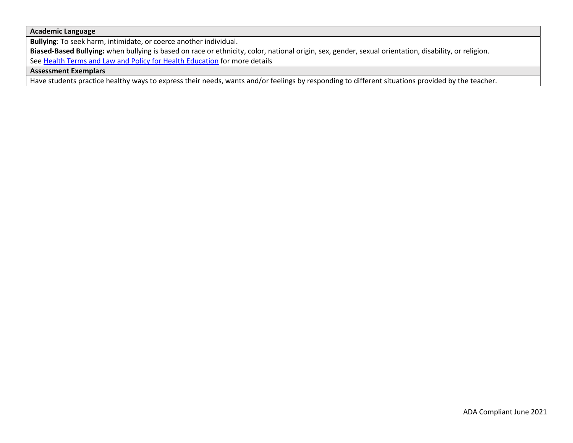## **Academic Language**

**Bullying**: To seek harm, intimidate, or coerce another individual.

**Biased-Based Bullying:** when bullying is based on race or ethnicity, color, national origin, sex, gender, sexual orientation, disability, or religion. See [Health Terms and Law and Policy for Health Education](https://schools.utah.gov/file/79acf6fe-5e26-4f46-9374-116b785e9147) for more details

## **Assessment Exemplars**

Have students practice healthy ways to express their needs, wants and/or feelings by responding to different situations provided by the teacher.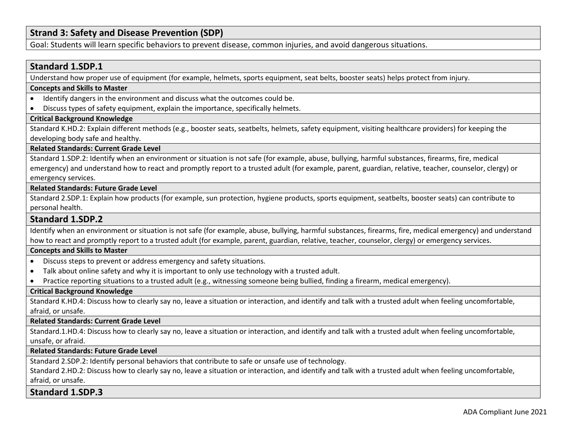# **Strand 3: Safety and Disease Prevention (SDP)**

Goal: Students will learn specific behaviors to prevent disease, common injuries, and avoid dangerous situations.

## **Standard 1.SDP.1**

Understand how proper use of equipment (for example, helmets, sports equipment, seat belts, booster seats) helps protect from injury.

#### **Concepts and Skills to Master**

- Identify dangers in the environment and discuss what the outcomes could be.
- Discuss types of safety equipment, explain the importance, specifically helmets.

#### **Critical Background Knowledge**

Standard K.HD.2: Explain different methods (e.g., booster seats, seatbelts, helmets, safety equipment, visiting healthcare providers) for keeping the developing body safe and healthy.

#### **Related Standards: Current Grade Level**

Standard 1.SDP.2: Identify when an environment or situation is not safe (for example, abuse, bullying, harmful substances, firearms, fire, medical emergency) and understand how to react and promptly report to a trusted adult (for example, parent, guardian, relative, teacher, counselor, clergy) or emergency services.

#### **Related Standards: Future Grade Level**

Standard 2.SDP.1: Explain how products (for example, sun protection, hygiene products, sports equipment, seatbelts, booster seats) can contribute to personal health.

## **Standard 1.SDP.2**

Identify when an environment or situation is not safe (for example, abuse, bullying, harmful substances, firearms, fire, medical emergency) and understand how to react and promptly report to a trusted adult (for example, parent, guardian, relative, teacher, counselor, clergy) or emergency services.

## **Concepts and Skills to Master**

- Discuss steps to prevent or address emergency and safety situations.
- Talk about online safety and why it is important to only use technology with a trusted adult.
- Practice reporting situations to a trusted adult (e.g., witnessing someone being bullied, finding a firearm, medical emergency).

#### **Critical Background Knowledge**

Standard K.HD.4: Discuss how to clearly say no, leave a situation or interaction, and identify and talk with a trusted adult when feeling uncomfortable, afraid, or unsafe.

#### **Related Standards: Current Grade Level**

Standard.1.HD.4: Discuss how to clearly say no, leave a situation or interaction, and identify and talk with a trusted adult when feeling uncomfortable, unsafe, or afraid.

#### **Related Standards: Future Grade Level**

Standard 2.SDP.2: Identify personal behaviors that contribute to safe or unsafe use of technology.

Standard 2.HD.2: Discuss how to clearly say no, leave a situation or interaction, and identify and talk with a trusted adult when feeling uncomfortable, afraid, or unsafe.

## **Standard 1.SDP.3**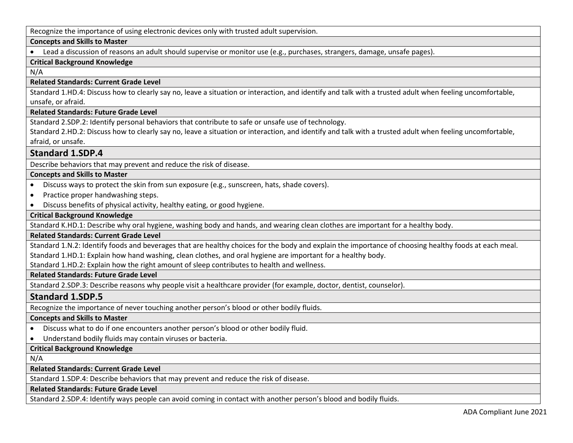Recognize the importance of using electronic devices only with trusted adult supervision.

## **Concepts and Skills to Master**

• Lead a discussion of reasons an adult should supervise or monitor use (e.g., purchases, strangers, damage, unsafe pages).

# **Critical Background Knowledge**

N/A

## **Related Standards: Current Grade Level**

Standard 1.HD.4: Discuss how to clearly say no, leave a situation or interaction, and identify and talk with a trusted adult when feeling uncomfortable, unsafe, or afraid.

# **Related Standards: Future Grade Level**

Standard 2.SDP.2: Identify personal behaviors that contribute to safe or unsafe use of technology.

Standard 2.HD.2: Discuss how to clearly say no, leave a situation or interaction, and identify and talk with a trusted adult when feeling uncomfortable, afraid, or unsafe.

# **Standard 1.SDP.4**

Describe behaviors that may prevent and reduce the risk of disease.

# **Concepts and Skills to Master**

- Discuss ways to protect the skin from sun exposure (e.g., sunscreen, hats, shade covers).
- Practice proper handwashing steps.
- Discuss benefits of physical activity, healthy eating, or good hygiene.

# **Critical Background Knowledge**

Standard K.HD.1: Describe why oral hygiene, washing body and hands, and wearing clean clothes are important for a healthy body.

## **Related Standards: Current Grade Level**

Standard 1.N.2: Identify foods and beverages that are healthy choices for the body and explain the importance of choosing healthy foods at each meal. Standard 1.HD.1: Explain how hand washing, clean clothes, and oral hygiene are important for a healthy body.

Standard 1.HD.2: Explain how the right amount of sleep contributes to health and wellness.

**Related Standards: Future Grade Level** 

Standard 2.SDP.3: Describe reasons why people visit a healthcare provider (for example, doctor, dentist, counselor).

# **Standard 1.SDP.5**

Recognize the importance of never touching another person's blood or other bodily fluids.

## **Concepts and Skills to Master**

- Discuss what to do if one encounters another person's blood or other bodily fluid.
- Understand bodily fluids may contain viruses or bacteria.

# **Critical Background Knowledge**

N/A

**Related Standards: Current Grade Level**

Standard 1.SDP.4: Describe behaviors that may prevent and reduce the risk of disease.

# **Related Standards: Future Grade Level**

Standard 2.SDP.4: Identify ways people can avoid coming in contact with another person's blood and bodily fluids.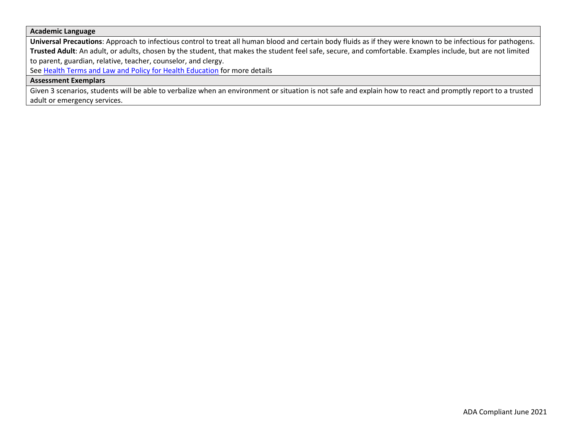#### **Academic Language**

**Universal Precautions**: Approach to infectious control to treat all human blood and certain body fluids as if they were known to be infectious for pathogens. **Trusted Adult**: An adult, or adults, chosen by the student, that makes the student feel safe, secure, and comfortable. Examples include, but are not limited to parent, guardian, relative, teacher, counselor, and clergy.

See [Health Terms and Law and Policy for Health Education](https://schools.utah.gov/file/79acf6fe-5e26-4f46-9374-116b785e9147) for more details

## **Assessment Exemplars**

Given 3 scenarios, students will be able to verbalize when an environment or situation is not safe and explain how to react and promptly report to a trusted adult or emergency services.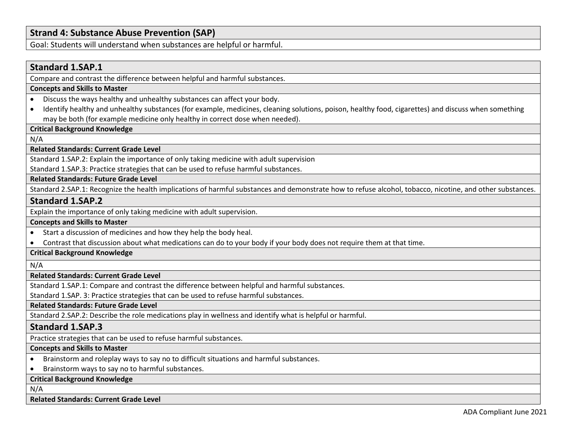# **Strand 4: Substance Abuse Prevention (SAP)**

Goal: Students will understand when substances are helpful or harmful.

## **Standard 1.SAP.1**

Compare and contrast the difference between helpful and harmful substances.

## **Concepts and Skills to Master**

- Discuss the ways healthy and unhealthy substances can affect your body.
- Identify healthy and unhealthy substances (for example, medicines, cleaning solutions, poison, healthy food, cigarettes) and discuss when something may be both (for example medicine only healthy in correct dose when needed).

#### **Critical Background Knowledge**

N/A

# **Related Standards: Current Grade Level**

Standard 1.SAP.2: Explain the importance of only taking medicine with adult supervision

Standard 1.SAP.3: Practice strategies that can be used to refuse harmful substances.

## **Related Standards: Future Grade Level**

Standard 2.SAP.1: Recognize the health implications of harmful substances and demonstrate how to refuse alcohol, tobacco, nicotine, and other substances.

## **Standard 1.SAP.2**

Explain the importance of only taking medicine with adult supervision.

#### **Concepts and Skills to Master**

- Start a discussion of medicines and how they help the body heal.
- Contrast that discussion about what medications can do to your body if your body does not require them at that time.

## **Critical Background Knowledge**

N/A

#### **Related Standards: Current Grade Level**

Standard 1.SAP.1: Compare and contrast the difference between helpful and harmful substances.

Standard 1.SAP. 3: Practice strategies that can be used to refuse harmful substances.

#### **Related Standards: Future Grade Level**

Standard 2.SAP.2: Describe the role medications play in wellness and identify what is helpful or harmful.

## **Standard 1.SAP.3**

Practice strategies that can be used to refuse harmful substances.

#### **Concepts and Skills to Master**

- Brainstorm and roleplay ways to say no to difficult situations and harmful substances.
- Brainstorm ways to say no to harmful substances.

**Critical Background Knowledge**

## N/A

#### **Related Standards: Current Grade Level**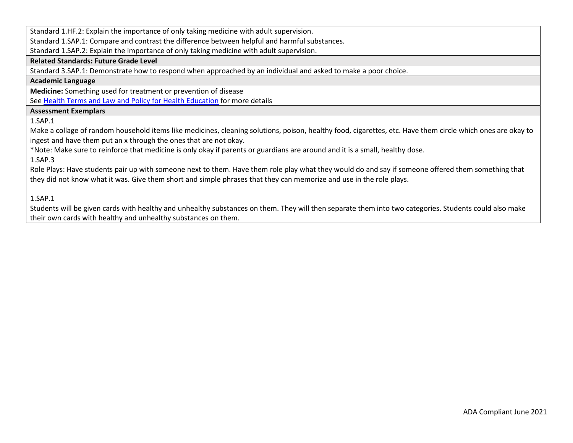Standard 1.HF.2: Explain the importance of only taking medicine with adult supervision.

Standard 1.SAP.1: Compare and contrast the difference between helpful and harmful substances.

Standard 1.SAP.2: Explain the importance of only taking medicine with adult supervision.

#### **Related Standards: Future Grade Level**

Standard 3.SAP.1: Demonstrate how to respond when approached by an individual and asked to make a poor choice.

## **Academic Language**

**Medicine:** Something used for treatment or prevention of disease

See [Health Terms and Law and Policy for Health Education](https://schools.utah.gov/file/79acf6fe-5e26-4f46-9374-116b785e9147) for more details

## **Assessment Exemplars**

1.SAP.1

Make a collage of random household items like medicines, cleaning solutions, poison, healthy food, cigarettes, etc. Have them circle which ones are okay to ingest and have them put an x through the ones that are not okay.

\*Note: Make sure to reinforce that medicine is only okay if parents or guardians are around and it is a small, healthy dose.

1.SAP.3

Role Plays: Have students pair up with someone next to them. Have them role play what they would do and say if someone offered them something that they did not know what it was. Give them short and simple phrases that they can memorize and use in the role plays.

1.SAP.1

Students will be given cards with healthy and unhealthy substances on them. They will then separate them into two categories. Students could also make their own cards with healthy and unhealthy substances on them.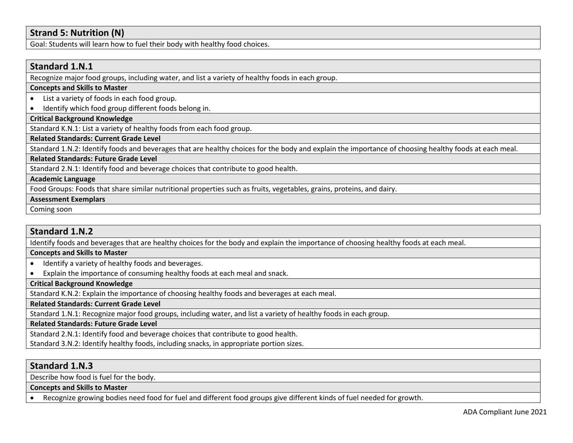# **Strand 5: Nutrition (N)**

Goal: Students will learn how to fuel their body with healthy food choices.

# **Standard 1.N.1**

Recognize major food groups, including water, and list a variety of healthy foods in each group.

## **Concepts and Skills to Master**

- List a variety of foods in each food group.
- Identify which food group different foods belong in.

# **Critical Background Knowledge**

Standard K.N.1: List a variety of healthy foods from each food group.

## **Related Standards: Current Grade Level**

Standard 1.N.2: Identify foods and beverages that are healthy choices for the body and explain the importance of choosing healthy foods at each meal.

## **Related Standards: Future Grade Level**

Standard 2.N.1: Identify food and beverage choices that contribute to good health.

#### **Academic Language**

Food Groups: Foods that share similar nutritional properties such as fruits, vegetables, grains, proteins, and dairy.

#### **Assessment Exemplars**

Coming soon

# **Standard 1.N.2**

Identify foods and beverages that are healthy choices for the body and explain the importance of choosing healthy foods at each meal.

## **Concepts and Skills to Master**

- Identify a variety of healthy foods and beverages.
- Explain the importance of consuming healthy foods at each meal and snack.

#### **Critical Background Knowledge**

Standard K.N.2: Explain the importance of choosing healthy foods and beverages at each meal.

**Related Standards: Current Grade Level**

Standard 1.N.1: Recognize major food groups, including water, and list a variety of healthy foods in each group.

#### **Related Standards: Future Grade Level**

Standard 2.N.1: Identify food and beverage choices that contribute to good health.

Standard 3.N.2: Identify healthy foods, including snacks, in appropriate portion sizes.

# **Standard 1.N.3**

Describe how food is fuel for the body.

## **Concepts and Skills to Master**

• Recognize growing bodies need food for fuel and different food groups give different kinds of fuel needed for growth.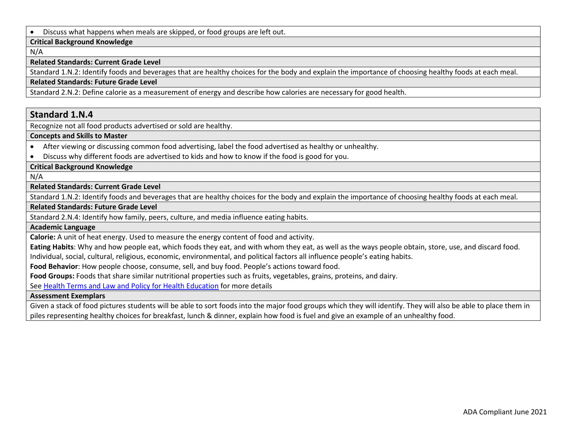• Discuss what happens when meals are skipped, or food groups are left out.

#### **Critical Background Knowledge**

N/A

#### **Related Standards: Current Grade Level**

Standard 1.N.2: Identify foods and beverages that are healthy choices for the body and explain the importance of choosing healthy foods at each meal.

#### **Related Standards: Future Grade Level**

Standard 2.N.2: Define calorie as a measurement of energy and describe how calories are necessary for good health.

## **Standard 1.N.4**

Recognize not all food products advertised or sold are healthy.

**Concepts and Skills to Master** 

- After viewing or discussing common food advertising, label the food advertised as healthy or unhealthy.
- Discuss why different foods are advertised to kids and how to know if the food is good for you.

## **Critical Background Knowledge**

N/A

## **Related Standards: Current Grade Level**

Standard 1.N.2: Identify foods and beverages that are healthy choices for the body and explain the importance of choosing healthy foods at each meal.

#### **Related Standards: Future Grade Level**

Standard 2.N.4: Identify how family, peers, culture, and media influence eating habits.

#### **Academic Language**

**Calorie:** A unit of heat energy. Used to measure the energy content of food and activity.

**Eating Habits**: Why and how people eat, which foods they eat, and with whom they eat, as well as the ways people obtain, store, use, and discard food.

Individual, social, cultural, religious, economic, environmental, and political factors all influence people's eating habits.

**Food Behavior**: How people choose, consume, sell, and buy food. People's actions toward food.

**Food Groups:** Foods that share similar nutritional properties such as fruits, vegetables, grains, proteins, and dairy.

See [Health Terms and Law and Policy for Health Education](https://schools.utah.gov/file/79acf6fe-5e26-4f46-9374-116b785e9147) for more details

## **Assessment Exemplars**

Given a stack of food pictures students will be able to sort foods into the major food groups which they will identify. They will also be able to place them in piles representing healthy choices for breakfast, lunch & dinner, explain how food is fuel and give an example of an unhealthy food.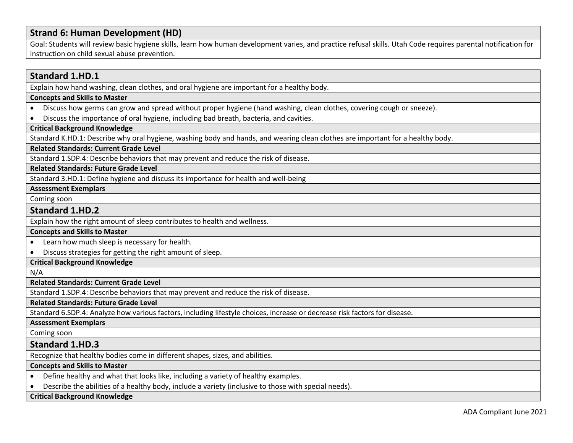# **Strand 6: Human Development (HD)**

Goal: Students will review basic hygiene skills, learn how human development varies, and practice refusal skills. Utah Code requires parental notification for instruction on child sexual abuse prevention.

## **Standard 1.HD.1**

Explain how hand washing, clean clothes, and oral hygiene are important for a healthy body.

## **Concepts and Skills to Master**

- Discuss how germs can grow and spread without proper hygiene (hand washing, clean clothes, covering cough or sneeze).
- Discuss the importance of oral hygiene, including bad breath, bacteria, and cavities.

# **Critical Background Knowledge**

Standard K.HD.1: Describe why oral hygiene, washing body and hands, and wearing clean clothes are important for a healthy body.

## **Related Standards: Current Grade Level**

Standard 1.SDP.4: Describe behaviors that may prevent and reduce the risk of disease.

## **Related Standards: Future Grade Level**

Standard 3.HD.1: Define hygiene and discuss its importance for health and well-being

#### **Assessment Exemplars**

Coming soon

## **Standard 1.HD.2**

Explain how the right amount of sleep contributes to health and wellness.

#### **Concepts and Skills to Master**

- Learn how much sleep is necessary for health.
- Discuss strategies for getting the right amount of sleep.

## **Critical Background Knowledge**

N/A

#### **Related Standards: Current Grade Level**

Standard 1.SDP.4: Describe behaviors that may prevent and reduce the risk of disease.

**Related Standards: Future Grade Level** 

Standard 6.SDP.4: Analyze how various factors, including lifestyle choices, increase or decrease risk factors for disease.

#### **Assessment Exemplars**

Coming soon

# **Standard 1.HD.3**

Recognize that healthy bodies come in different shapes, sizes, and abilities.

## **Concepts and Skills to Master**

- Define healthy and what that looks like, including a variety of healthy examples.
- Describe the abilities of a healthy body, include a variety (inclusive to those with special needs).

## **Critical Background Knowledge**